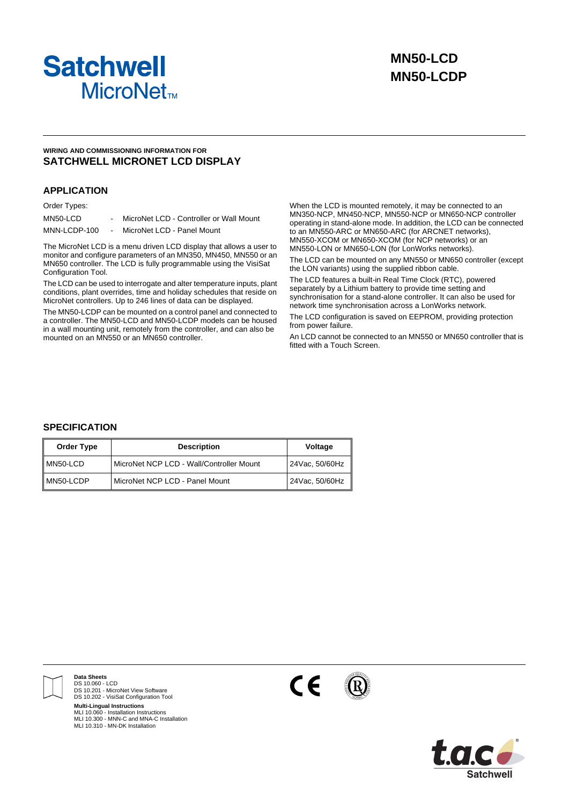

## **WIRING AND COMMISSIONING INFORMATION FOR SATCHWELL MICRONET LCD DISPLAY**

## **APPLICATION**

### Order Types:

| MN50-LCD     | MicroNet LCD - Controller or Wall Mount |
|--------------|-----------------------------------------|
| MNN-LCDP-100 | MicroNet LCD - Panel Mount              |

The MicroNet LCD is a menu driven LCD display that allows a user to monitor and configure parameters of an MN350, MN450, MN550 or an MN650 controller. The LCD is fully programmable using the VisiSat Configuration Tool.

The LCD can be used to interrogate and alter temperature inputs, plant conditions, plant overrides, time and holiday schedules that reside on MicroNet controllers. Up to 246 lines of data can be displayed.

The MN50-LCDP can be mounted on a control panel and connected to a controller. The MN50-LCD and MN50-LCDP models can be housed in a wall mounting unit, remotely from the controller, and can also be mounted on an MN550 or an MN650 controller.

When the LCD is mounted remotely, it may be connected to an MN350-NCP, MN450-NCP, MN550-NCP or MN650-NCP controller operating in stand-alone mode. In addition, the LCD can be connected to an MN550-ARC or MN650-ARC (for ARCNET networks), MN550-XCOM or MN650-XCOM (for NCP networks) or an MN550-LON or MN650-LON (for LonWorks networks).

The LCD can be mounted on any MN550 or MN650 controller (except the LON variants) using the supplied ribbon cable.

The LCD features a built-in Real Time Clock (RTC), powered separately by a Lithium battery to provide time setting and synchronisation for a stand-alone controller. It can also be used for network time synchronisation across a LonWorks network.

The LCD configuration is saved on EEPROM, providing protection from power failure.

An LCD cannot be connected to an MN550 or MN650 controller that is fitted with a Touch Screen.

## **SPECIFICATION**

| <b>Order Type</b> | <b>Description</b>                       | <b>Voltage</b> |
|-------------------|------------------------------------------|----------------|
| MN50-LCD          | MicroNet NCP LCD - Wall/Controller Mount | 24Vac, 50/60Hz |
| MN50-LCDP         | MicroNet NCP LCD - Panel Mount           | 24Vac, 50/60Hz |



**Data Sheets** DS 10.060 - LCD DS 10.201 - MicroNet View Software DS 10.202 - VisiSat Configuration Tool **Multi-Lingual Instructions**

MLI 10.060 - Installation Instructions MLI 10.300 - MNN-C and MNA-C Installation MLI 10.310 - MN-DK Installation



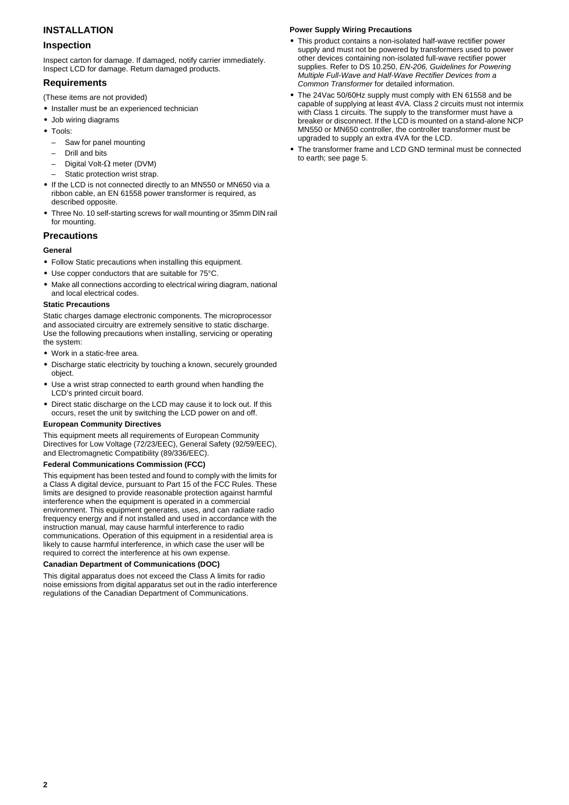# **INSTALLATION**

## **Inspection**

Inspect carton for damage. If damaged, notify carrier immediately. Inspect LCD for damage. Return damaged products.

## **Requirements**

- (These items are not provided)
- **•** Installer must be an experienced technician
- **•** Job wiring diagrams
- **•** Tools:
	- Saw for panel mounting
	- Drill and bits
	- Digital Volt-Ω meter (DVM)
	- Static protection wrist strap.
- **•** If the LCD is not connected directly to an MN550 or MN650 via a ribbon cable, an EN 61558 power transformer is required, as described opposite.
- **•** Three No. 10 self-starting screws for wall mounting or 35mm DIN rail for mounting.

## **Precautions**

## **General**

- **•** Follow Static precautions when installing this equipment.
- **•** Use copper conductors that are suitable for 75°C.
- **•** Make all connections according to electrical wiring diagram, national and local electrical codes.

## **Static Precautions**

Static charges damage electronic components. The microprocessor and associated circuitry are extremely sensitive to static discharge. Use the following precautions when installing, servicing or operating the system:

- **•** Work in a static-free area.
- **•** Discharge static electricity by touching a known, securely grounded object.
- **•** Use a wrist strap connected to earth ground when handling the LCD's printed circuit board.
- **•** Direct static discharge on the LCD may cause it to lock out. If this occurs, reset the unit by switching the LCD power on and off.

#### **European Community Directives**

This equipment meets all requirements of European Community Directives for Low Voltage (72/23/EEC), General Safety (92/59/EEC), and Electromagnetic Compatibility (89/336/EEC).

#### **Federal Communications Commission (FCC)**

This equipment has been tested and found to comply with the limits for a Class A digital device, pursuant to Part 15 of the FCC Rules. These limits are designed to provide reasonable protection against harmful interference when the equipment is operated in a commercial environment. This equipment generates, uses, and can radiate radio frequency energy and if not installed and used in accordance with the instruction manual, may cause harmful interference to radio communications. Operation of this equipment in a residential area is likely to cause harmful interference, in which case the user will be required to correct the interference at his own expense.

#### **Canadian Department of Communications (DOC)**

This digital apparatus does not exceed the Class A limits for radio noise emissions from digital apparatus set out in the radio interference regulations of the Canadian Department of Communications.

## **Power Supply Wiring Precautions**

- **•** This product contains a non-isolated half-wave rectifier power supply and must not be powered by transformers used to power other devices containing non-isolated full-wave rectifier power supplies. Refer to DS 10.250, *EN-206, Guidelines for Powering Multiple Full-Wave and Half-Wave Rectifier Devices from a Common Transformer* for detailed information.
- **•** The 24Vac 50/60Hz supply must comply with EN 61558 and be capable of supplying at least 4VA. Class 2 circuits must not intermix with Class 1 circuits. The supply to the transformer must have a breaker or disconnect. If the LCD is mounted on a stand-alone NCP MN550 or MN650 controller, the controller transformer must be upgraded to supply an extra 4VA for the LCD.
- **•** The transformer frame and LCD GND terminal must be connected to earth; see [page 5.](#page-4-0)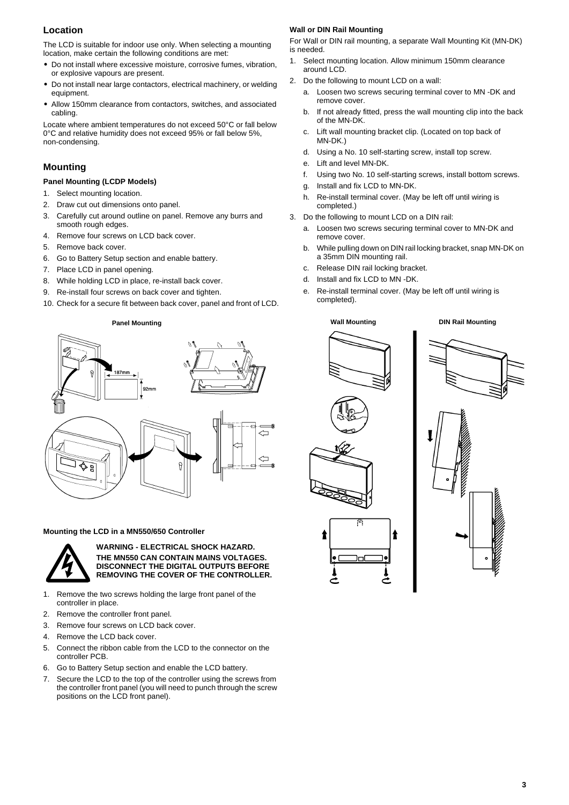# **Location**

The LCD is suitable for indoor use only. When selecting a mounting location, make certain the following conditions are met:

- **•** Do not install where excessive moisture, corrosive fumes, vibration, or explosive vapours are present.
- **•** Do not install near large contactors, electrical machinery, or welding equipment.
- **•** Allow 150mm clearance from contactors, switches, and associated cabling.

Locate where ambient temperatures do not exceed 50°C or fall below 0°C and relative humidity does not exceed 95% or fall below 5%, non-condensing.

# **Mounting**

## **Panel Mounting (LCDP Models)**

- 1. Select mounting location.
- 2. Draw cut out dimensions onto panel.
- 3. Carefully cut around outline on panel. Remove any burrs and smooth rough edges.
- 4. Remove four screws on LCD back cover.
- 5. Remove back cover.
- 6. Go to Battery Setup section and enable battery.
- 7. Place LCD in panel opening.
- 8. While holding LCD in place, re-install back cover.
- 9. Re-install four screws on back cover and tighten.
- 10. Check for a secure fit between back cover, panel and front of LCD.

**Panel Mounting**



#### <span id="page-2-0"></span>**Mounting the LCD in a MN550/650 Controller**



**WARNING - ELECTRICAL SHOCK HAZARD. THE MN550 CAN CONTAIN MAINS VOLTAGES. DISCONNECT THE DIGITAL OUTPUTS BEFORE REMOVING THE COVER OF THE CONTROLLER.**

- 1. Remove the two screws holding the large front panel of the controller in place.
- 2. Remove the controller front panel.
- 3. Remove four screws on LCD back cover.
- 4. Remove the LCD back cover.
- 5. Connect the ribbon cable from the LCD to the connector on the controller PCB.
- 6. Go to Battery Setup section and enable the LCD battery.
- 7. Secure the LCD to the top of the controller using the screws from the controller front panel (you will need to punch through the screw positions on the LCD front panel).

## **Wall or DIN Rail Mounting**

For Wall or DIN rail mounting, a separate Wall Mounting Kit (MN-DK) is needed.

- 1. Select mounting location. Allow minimum 150mm clearance around LCD.
- 2. Do the following to mount LCD on a wall:
	- a. Loosen two screws securing terminal cover to MN -DK and remove cover.
	- b. If not already fitted, press the wall mounting clip into the back of the MN-DK.
	- c. Lift wall mounting bracket clip. (Located on top back of MN-DK.)
	- d. Using a No. 10 self-starting screw, install top screw.
	- e. Lift and level MN-DK.
	- f. Using two No. 10 self-starting screws, install bottom screws.
	- g. Install and fix LCD to MN-DK.
	- h. Re-install terminal cover. (May be left off until wiring is completed.)
- 3. Do the following to mount LCD on a DIN rail:
	- a. Loosen two screws securing terminal cover to MN-DK and remove cover.
	- b. While pulling down on DIN rail locking bracket, snap MN-DK on a 35mm DIN mounting rail.
	- c. Release DIN rail locking bracket.
	- d. Install and fix LCD to MN -DK.
	- e. Re-install terminal cover. (May be left off until wiring is completed).





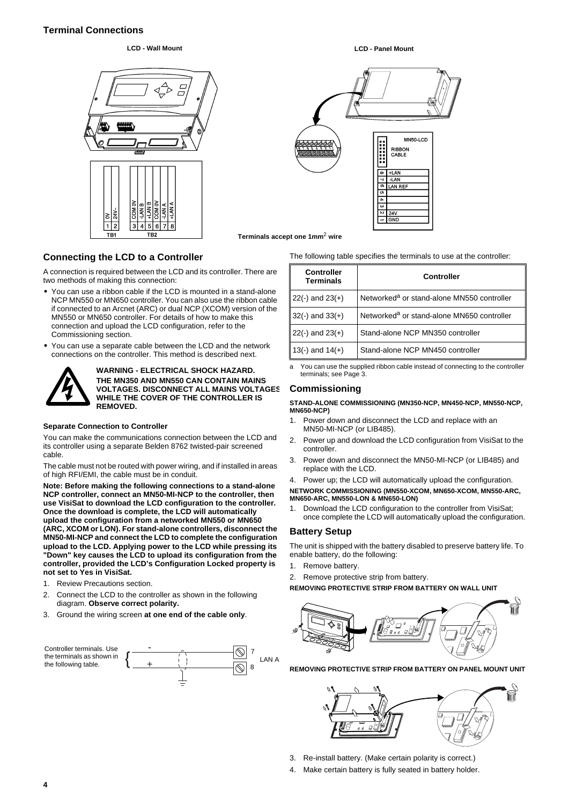# **Terminal Connections**

## **LCD - Wall Mount LCD - Panel Mount**



# MN50-LCD RIBRON CABLE  $+LM$ -LAN **LAN REF**  $24\lambda$ **TGND**

**Terminals accept one 1mm**2 **wire**

## **Connecting the LCD to a Controller**

A connection is required between the LCD and its controller. There are two methods of making this connection:

- **•** You can use a ribbon cable if the LCD is mounted in a stand-alone NCP MN550 or MN650 controller. You can also use the ribbon cable if connected to an Arcnet (ARC) or dual NCP (XCOM) version of the MN550 or MN650 controller. For details of how to make this connection and upload the LCD configuration, refer to the Commissioning section.
- **•** You can use a separate cable between the LCD and the network connections on the controller. This method is described next.



**WARNING - ELECTRICAL SHOCK HAZARD. THE MN350 AND MN550 CAN CONTAIN MAINS VOLTAGES. DISCONNECT ALL MAINS VOLTAGES WHILE THE COVER OF THE CONTROLLER IS REMOVED.**

#### **Separate Connection to Controller**

You can make the communications connection between the LCD and its controller using a separate Belden 8762 twisted-pair screened cable.

The cable must not be routed with power wiring, and if installed in areas of high RFI/EMI, the cable must be in conduit.

**Note: Before making the following connections to a stand-alone NCP controller, connect an MN50-MI-NCP to the controller, then use VisiSat to download the LCD configuration to the controller. Once the download is complete, the LCD will automatically upload the configuration from a networked MN550 or MN650 (ARC, XCOM or LON). For stand-alone controllers, disconnect the MN50-MI-NCP and connect the LCD to complete the configuration upload to the LCD. Applying power to the LCD while pressing its "Down" key causes the LCD to upload its configuration from the controller, provided the LCD's Configuration Locked property is not set to Yes in VisiSat.**

- 1. Review Precautions section.
- 2. Connect the LCD to the controller as shown in the following diagram. **Observe correct polarity.**
- 3. Ground the wiring screen **at one end of the cable only**.



The following table specifies the terminals to use at the controller:

| Controller<br><b>Terminals</b> | <b>Controller</b>                                      |
|--------------------------------|--------------------------------------------------------|
| $22(-)$ and $23(+)$            | Networked <sup>a</sup> or stand-alone MN550 controller |
| $32(-)$ and $33(+)$            | Networked <sup>a</sup> or stand-alone MN650 controller |
| $22(-)$ and $23(+)$            | Stand-alone NCP MN350 controller                       |
| 13(-) and $14(+)$              | Stand-alone NCP MN450 controller                       |

You can use the supplied ribbon cable instead of connecting to the controller terminals; see [Page 3](#page-2-0).

## **Commissioning**

**STAND-ALONE COMMISSIONING (MN350-NCP, MN450-NCP, MN550-NCP, MN650-NCP)**

- 1. Power down and disconnect the LCD and replace with an MN50-MI-NCP (or LIB485).
- 2. Power up and download the LCD configuration from VisiSat to the controller.
- 3. Power down and disconnect the MN50-MI-NCP (or LIB485) and replace with the LCD.
- 4. Power up; the LCD will automatically upload the configuration.

**NETWORK COMMISSIONING (MN550-XCOM, MN650-XCOM, MN550-ARC, MN650-ARC, MN550-LON & MN650-LON)**

1. Download the LCD configuration to the controller from VisiSat; once complete the LCD will automatically upload the configuration.

#### **Battery Setup**

The unit is shipped with the battery disabled to preserve battery life. To enable battery, do the following:

- 1. Remove battery.
- 2. Remove protective strip from battery.

**REMOVING PROTECTIVE STRIP FROM BATTERY ON WALL UNIT**



**REMOVING PROTECTIVE STRIP FROM BATTERY ON PANEL MOUNT UNIT**

- 3. Re-install battery. (Make certain polarity is correct.)
- 4. Make certain battery is fully seated in battery holder.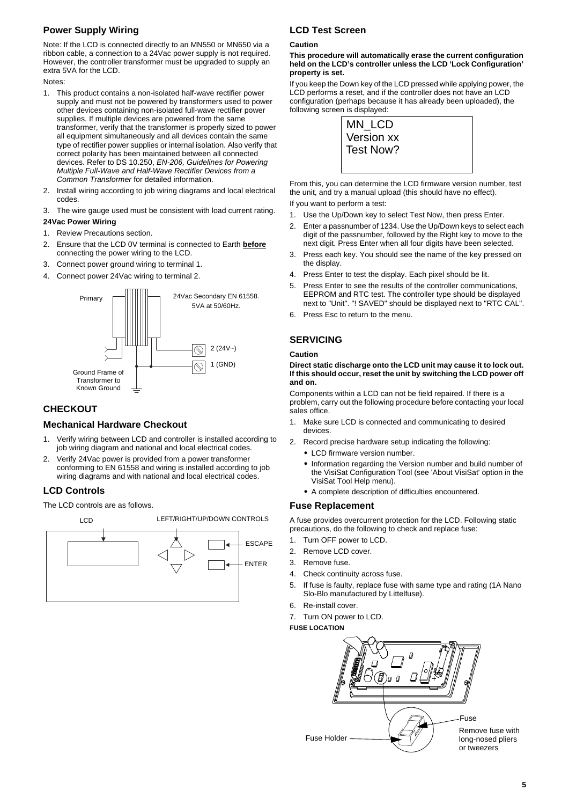# **Power Supply Wiring**

Note: If the LCD is connected directly to an MN550 or MN650 via a ribbon cable, a connection to a 24Vac power supply is not required. However, the controller transformer must be upgraded to supply an extra 5VA for the LCD.

Notes:

- 1. This product contains a non-isolated half-wave rectifier power supply and must not be powered by transformers used to power other devices containing non-isolated full-wave rectifier power supplies. If multiple devices are powered from the same transformer, verify that the transformer is properly sized to power all equipment simultaneously and all devices contain the same type of rectifier power supplies or internal isolation. Also verify that correct polarity has been maintained between all connected devices. Refer to DS 10.250, *EN-206, Guidelines for Powering Multiple Full-Wave and Half-Wave Rectifier Devices from a Common Transformer* for detailed information.
- 2. Install wiring according to job wiring diagrams and local electrical codes.
- <span id="page-4-0"></span>3. The wire gauge used must be consistent with load current rating. **24Vac Power Wiring**
- 1. Review Precautions section.
- 2. Ensure that the LCD 0V terminal is connected to Earth **before** connecting the power wiring to the LCD.
- 3. Connect power ground wiring to terminal 1.
- 4. Connect power 24Vac wiring to terminal 2.



# **CHECKOUT**

# **Mechanical Hardware Checkout**

- 1. Verify wiring between LCD and controller is installed according to job wiring diagram and national and local electrical codes.
- 2. Verify 24Vac power is provided from a power transformer conforming to EN 61558 and wiring is installed according to job wiring diagrams and with national and local electrical codes.

# **LCD Controls**

The LCD controls are as follows.



# **LCD Test Screen**

#### **Caution**

#### **This procedure will automatically erase the current configuration held on the LCD's controller unless the LCD 'Lock Configuration' property is set.**

If you keep the Down key of the LCD pressed while applying power, the LCD performs a reset, and if the controller does not have an LCD configuration (perhaps because it has already been uploaded), the following screen is displayed:

| MN_LCD     |  |
|------------|--|
| Version xx |  |
| Test Now?  |  |
|            |  |

From this, you can determine the LCD firmware version number, test the unit, and try a manual upload (this should have no effect).

If you want to perform a test:

- 1. Use the Up/Down key to select Test Now, then press Enter.
- 2. Enter a passnumber of 1234. Use the Up/Down keys to select each digit of the passnumber, followed by the Right key to move to the next digit. Press Enter when all four digits have been selected.
- 3. Press each key. You should see the name of the key pressed on the display.
- 4. Press Enter to test the display. Each pixel should be lit.
- 5. Press Enter to see the results of the controller communications, EEPROM and RTC test. The controller type should be displayed next to "Unit". "! SAVED" should be displayed next to "RTC CAL".
- 6. Press Esc to return to the menu.

# **SERVICING**

## **Caution**

#### **Direct static discharge onto the LCD unit may cause it to lock out. If this should occur, reset the unit by switching the LCD power off and on.**

Components within a LCD can not be field repaired. If there is a problem, carry out the following procedure before contacting your local sales office.

- 1. Make sure LCD is connected and communicating to desired devices.
- 2. Record precise hardware setup indicating the following:
	- **•** LCD firmware version number.
	- **•** Information regarding the Version number and build number of the VisiSat Configuration Tool (see 'About VisiSat' option in the VisiSat Tool Help menu).
	- **•** A complete description of difficulties encountered.

## **Fuse Replacement**

A fuse provides overcurrent protection for the LCD. Following static precautions, do the following to check and replace fuse:

- 1. Turn OFF power to LCD.
- 2. Remove LCD cover.
- 3. Remove fuse.
- 4. Check continuity across fuse.
- 5. If fuse is faulty, replace fuse with same type and rating (1A Nano Slo-Blo manufactured by Littelfuse).
- 6. Re-install cover.
- 7. Turn ON power to LCD.
- **FUSE LOCATION**